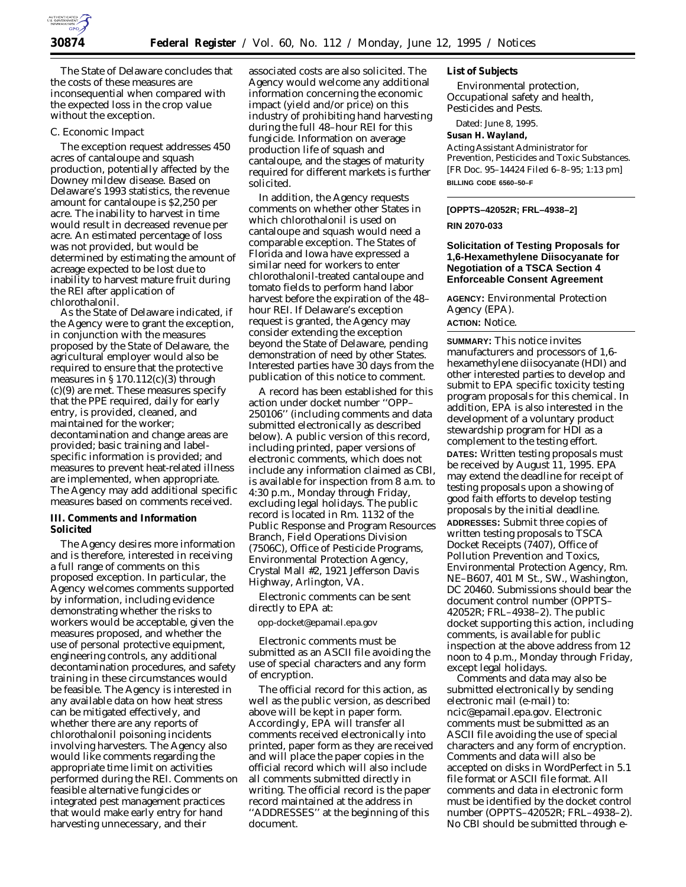

The State of Delaware concludes that the costs of these measures are inconsequential when compared with the expected loss in the crop value without the exception.

## *C. Economic Impact*

The exception request addresses 450 acres of cantaloupe and squash production, potentially affected by the Downey mildew disease. Based on Delaware's 1993 statistics, the revenue amount for cantaloupe is \$2,250 per acre. The inability to harvest in time would result in decreased revenue per acre. An estimated percentage of loss was not provided, but would be determined by estimating the amount of acreage expected to be lost due to inability to harvest mature fruit during the REI after application of chlorothalonil.

As the State of Delaware indicated, if the Agency were to grant the exception, in conjunction with the measures proposed by the State of Delaware, the agricultural employer would also be required to ensure that the protective measures in  $\S 170.112(c)(3)$  through (c)(9) are met. These measures specify that the PPE required, daily for early entry, is provided, cleaned, and maintained for the worker; decontamination and change areas are provided; basic training and labelspecific information is provided; and measures to prevent heat-related illness are implemented, when appropriate. The Agency may add additional specific measures based on comments received.

## **III. Comments and Information Solicited**

The Agency desires more information and is therefore, interested in receiving a full range of comments on this proposed exception. In particular, the Agency welcomes comments supported by information, including evidence demonstrating whether the risks to workers would be acceptable, given the measures proposed, and whether the use of personal protective equipment, engineering controls, any additional decontamination procedures, and safety training in these circumstances would be feasible. The Agency is interested in any available data on how heat stress can be mitigated effectively, and whether there are any reports of chlorothalonil poisoning incidents involving harvesters. The Agency also would like comments regarding the appropriate time limit on activities performed during the REI. Comments on feasible alternative fungicides or integrated pest management practices that would make early entry for hand harvesting unnecessary, and their

associated costs are also solicited. The Agency would welcome any additional information concerning the economic impact (yield and/or price) on this industry of prohibiting hand harvesting during the full 48–hour REI for this fungicide. Information on average production life of squash and cantaloupe, and the stages of maturity required for different markets is further solicited.

In addition, the Agency requests comments on whether other States in which chlorothalonil is used on cantaloupe and squash would need a comparable exception. The States of Florida and Iowa have expressed a similar need for workers to enter chlorothalonil-treated cantaloupe and tomato fields to perform hand labor harvest before the expiration of the 48– hour REI. If Delaware's exception request is granted, the Agency may consider extending the exception beyond the State of Delaware, pending demonstration of need by other States. Interested parties have 30 days from the publication of this notice to comment.

A record has been established for this action under docket number ''OPP– 250106'' (including comments and data submitted electronically as described below). A public version of this record, including printed, paper versions of electronic comments, which does not include any information claimed as CBI, is available for inspection from 8 a.m. to 4:30 p.m., Monday through Friday, excluding legal holidays. The public record is located in Rm. 1132 of the Public Response and Program Resources Branch, Field Operations Division (7506C), Office of Pesticide Programs, Environmental Protection Agency, Crystal Mall #2, 1921 Jefferson Davis Highway, Arlington, VA.

Electronic comments can be sent directly to EPA at:

opp-docket@epamail.epa.gov

Electronic comments must be submitted as an ASCII file avoiding the use of special characters and any form of encryption.

The official record for this action, as well as the public version, as described above will be kept in paper form. Accordingly, EPA will transfer all comments received electronically into printed, paper form as they are received and will place the paper copies in the official record which will also include all comments submitted directly in writing. The official record is the paper record maintained at the address in ''ADDRESSES'' at the beginning of this document.

## **List of Subjects**

Environmental protection, Occupational safety and health, Pesticides and Pests.

Dated: June 8, 1995.

#### **Susan H. Wayland,**

*Acting Assistant Administrator for Prevention, Pesticides and Toxic Substances.* [FR Doc. 95–14424 Filed 6–8–95; 1:13 pm] **BILLING CODE 6560–50–F**

#### **[OPPTS–42052R; FRL–4938–2]**

#### **RIN 2070-033**

## **Solicitation of Testing Proposals for 1,6-Hexamethylene Diisocyanate for Negotiation of a TSCA Section 4 Enforceable Consent Agreement**

**AGENCY:** Environmental Protection Agency (EPA). **ACTION:** Notice.

**SUMMARY:** This notice invites manufacturers and processors of 1,6 hexamethylene diisocyanate (HDI) and other interested parties to develop and submit to EPA specific toxicity testing program proposals for this chemical. In addition, EPA is also interested in the development of a voluntary product stewardship program for HDI as a complement to the testing effort. **DATES:** Written testing proposals must be received by August 11, 1995. EPA may extend the deadline for receipt of testing proposals upon a showing of good faith efforts to develop testing proposals by the initial deadline. **ADDRESSES:** Submit three copies of written testing proposals to TSCA Docket Receipts (7407), Office of Pollution Prevention and Toxics, Environmental Protection Agency, Rm. NE–B607, 401 M St., SW., Washington, DC 20460. Submissions should bear the document control number (OPPTS– 42052R; FRL–4938–2). The public docket supporting this action, including comments, is available for public inspection at the above address from 12 noon to 4 p.m., Monday through Friday, except legal holidays.

Comments and data may also be submitted electronically by sending electronic mail (e-mail) to: ncic@epamail.epa.gov. Electronic comments must be submitted as an ASCII file avoiding the use of special characters and any form of encryption. Comments and data will also be accepted on disks in WordPerfect in 5.1 file format or ASCII file format. All comments and data in electronic form must be identified by the docket control number (OPPTS–42052R; FRL–4938–2). No CBI should be submitted through e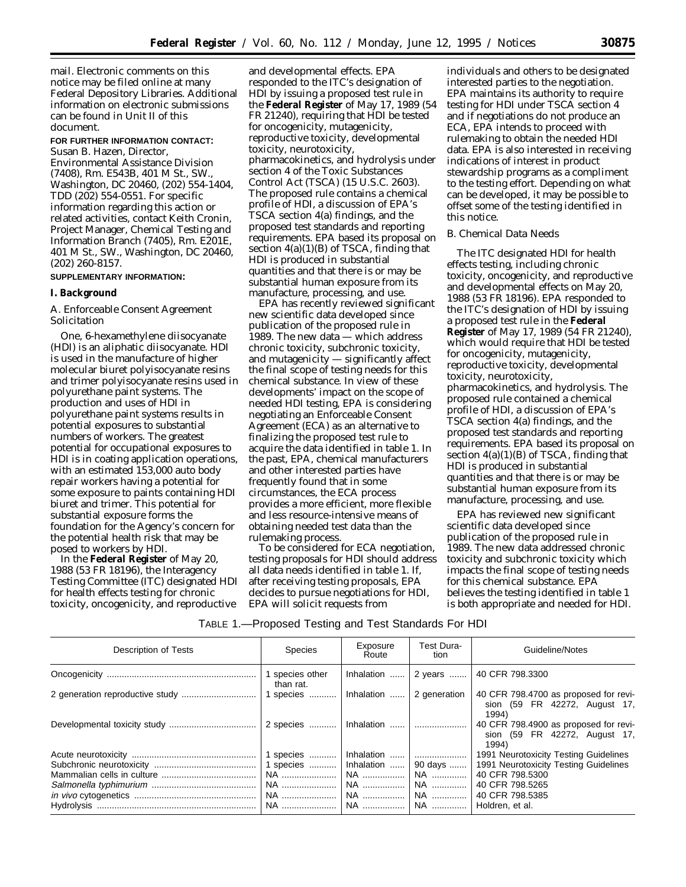mail. Electronic comments on this notice may be filed online at many Federal Depository Libraries. Additional information on electronic submissions can be found in Unit II of this document.

**FOR FURTHER INFORMATION CONTACT:** Susan B. Hazen, Director,

Environmental Assistance Division (7408), Rm. E543B, 401 M St., SW., Washington, DC 20460, (202) 554-1404, TDD (202) 554-0551. For specific information regarding this action or related activities, contact Keith Cronin, Project Manager, Chemical Testing and Information Branch (7405), Rm. E201E, 401 M St., SW., Washington, DC 20460, (202) 260-8157.

#### **SUPPLEMENTARY INFORMATION:**

### **I. Background**

## *A. Enforceable Consent Agreement Solicitation*

One, 6-hexamethylene diisocyanate (HDI) is an aliphatic diisocyanate. HDI is used in the manufacture of higher molecular biuret polyisocyanate resins and trimer polyisocyanate resins used in polyurethane paint systems. The production and uses of HDI in polyurethane paint systems results in potential exposures to substantial numbers of workers. The greatest potential for occupational exposures to HDI is in coating application operations, with an estimated 153,000 auto body repair workers having a potential for some exposure to paints containing HDI biuret and trimer. This potential for substantial exposure forms the foundation for the Agency's concern for the potential health risk that may be posed to workers by HDI.

In the **Federal Register** of May 20, 1988 (53 FR 18196), the Interagency Testing Committee (ITC) designated HDI for health effects testing for chronic toxicity, oncogenicity, and reproductive

and developmental effects. EPA responded to the ITC's designation of HDI by issuing a proposed test rule in the **Federal Register** of May 17, 1989 (54 FR 21240), requiring that HDI be tested for oncogenicity, mutagenicity, reproductive toxicity, developmental toxicity, neurotoxicity, pharmacokinetics, and hydrolysis under section 4 of the Toxic Substances Control Act (TSCA) (15 U.S.C. 2603). The proposed rule contains a chemical profile of HDI, a discussion of EPA's TSCA section 4(a) findings, and the proposed test standards and reporting requirements. EPA based its proposal on section  $4(a)(1)(B)$  of TSCA, finding that HDI is produced in substantial quantities and that there is or may be substantial human exposure from its manufacture, processing, and use.

EPA has recently reviewed significant new scientific data developed since publication of the proposed rule in 1989. The new data — which address chronic toxicity, subchronic toxicity, and mutagenicity — significantly affect the final scope of testing needs for this chemical substance. In view of these developments' impact on the scope of needed HDI testing, EPA is considering negotiating an Enforceable Consent Agreement (ECA) as an alternative to finalizing the proposed test rule to acquire the data identified in table 1. In the past, EPA, chemical manufacturers and other interested parties have frequently found that in some circumstances, the ECA process provides a more efficient, more flexible and less resource-intensive means of obtaining needed test data than the rulemaking process.

To be considered for ECA negotiation, testing proposals for HDI should address all data needs identified in table 1. If, after receiving testing proposals, EPA decides to pursue negotiations for HDI, EPA will solicit requests from

individuals and others to be designated interested parties to the negotiation. EPA maintains its authority to require testing for HDI under TSCA section 4 and if negotiations do not produce an ECA, EPA intends to proceed with rulemaking to obtain the needed HDI data. EPA is also interested in receiving indications of interest in product stewardship programs as a compliment to the testing effort. Depending on what can be developed, it may be possible to offset some of the testing identified in this notice.

# *B. Chemical Data Needs*

The ITC designated HDI for health effects testing, including chronic toxicity, oncogenicity, and reproductive and developmental effects on May 20, 1988 (53 FR 18196). EPA responded to the ITC's designation of HDI by issuing a proposed test rule in the **Federal Register** of May 17, 1989 (54 FR 21240), which would require that HDI be tested for oncogenicity, mutagenicity, reproductive toxicity, developmental toxicity, neurotoxicity, pharmacokinetics, and hydrolysis. The proposed rule contained a chemical profile of HDI, a discussion of EPA's TSCA section 4(a) findings, and the proposed test standards and reporting requirements. EPA based its proposal on section  $4(a)(1)(B)$  of TSCA, finding that HDI is produced in substantial quantities and that there is or may be substantial human exposure from its manufacture, processing, and use.

EPA has reviewed new significant scientific data developed since publication of the proposed rule in 1989. The new data addressed chronic toxicity and subchronic toxicity which impacts the final scope of testing needs for this chemical substance. EPA believes the testing identified in table 1 is both appropriate and needed for HDI.

| TABLE 1.-Proposed Testing and Test Standards For HDI |  |
|------------------------------------------------------|--|
|------------------------------------------------------|--|

| Description of Tests | Species                      | Exposure<br>Route    | Test Dura-<br>tion | Guideline/Notes                                                                 |
|----------------------|------------------------------|----------------------|--------------------|---------------------------------------------------------------------------------|
|                      | 1 species other<br>than rat. | Inhalation $\dots$ . | 2 years            | 40 CFR 798.3300                                                                 |
|                      | 1 species                    | Inhalation           | 2 generation       | 40 CFR 798.4700 as proposed for revi-<br>sion (59 FR 42272, August 17,<br>1994) |
|                      | 2 species                    | Inhalation           |                    | 40 CFR 798.4900 as proposed for revi-<br>sion (59 FR 42272, August 17,<br>1994) |
|                      | 1 species    Inhalation      |                      |                    | 1991 Neurotoxicity Testing Guidelines                                           |
|                      | 1 species                    | Inhalation           | 90 days            | 1991 Neurotoxicity Testing Guidelines                                           |
|                      | NA                           |                      | NA                 | 40 CFR 798.5300                                                                 |
|                      | NA                           | NA                   | NA ……………           | 40 CFR 798,5265                                                                 |
|                      | NA                           | NA                   | NA                 | 40 CFR 798.5385                                                                 |
|                      |                              | NA                   | NA                 | Holdren, et al.                                                                 |